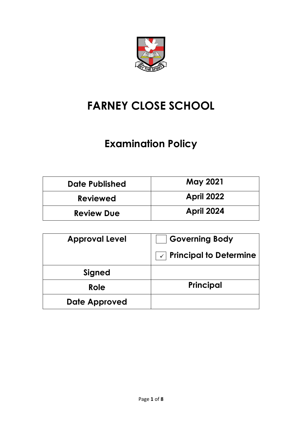

# **FARNEY CLOSE SCHOOL**

# **Examination Policy**

| <b>Date Published</b> | <b>May 2021</b>   |
|-----------------------|-------------------|
| <b>Reviewed</b>       | <b>April 2022</b> |
| <b>Review Due</b>     | <b>April 2024</b> |

| <b>Approval Level</b> | <b>Governing Body</b>                         |
|-----------------------|-----------------------------------------------|
|                       | <b>Principal to Determine</b><br>$\checkmark$ |
| Signed                |                                               |
| Role                  | Principal                                     |
| <b>Date Approved</b>  |                                               |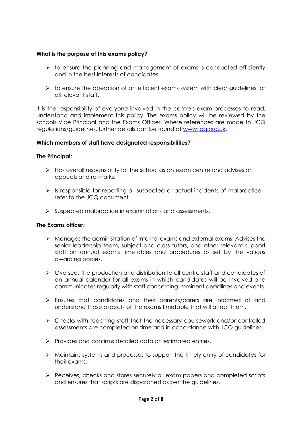# **What is the purpose of this exams policy?**

- $\triangleright$  to ensure the planning and management of exams is conducted efficiently and in the best interests of candidates.
- $\triangleright$  to ensure the operation of an efficient exams system with clear guidelines for all relevant staff.

It is the responsibility of everyone involved in the centre's exam processes to read, understand and implement this policy. The exams policy will be reviewed by the schools Vice Principal and the Exams Officer. Where references are made to JCQ regulations/guidelines, further details can be found at [www.jcq.org.uk.](http://www.jcq.org.uk/)

# **Which members of staff have designated responsibilities?**

#### **The Principal:**

- ➢ Has overall responsibility for the school as an exam centre and advises on appeals and re-marks.
- ➢ Is responsible for reporting all suspected or actual incidents of malpractice refer to the JCQ document.
- ➢ Suspected malpractice in examinations and assessments.

#### **The Exams officer:**

- ➢ Manages the administration of internal exams and external exams. Advises the senior leadership team, subject and class tutors, and other relevant support staff on annual exams timetables and procedures as set by the various awarding bodies.
- ➢ Oversees the production and distribution to all centre staff and candidates of an annual calendar for all exams in which candidates will be involved and communicates regularly with staff concerning imminent deadlines and events.
- ➢ Ensures that candidates and their parents/carers are informed of and understand those aspects of the exams timetable that will affect them.
- ➢ Checks with teaching staff that the necessary coursework and/or controlled assessments are completed on time and in accordance with JCQ guidelines.
- ➢ Provides and confirms detailed data on estimated entries.
- ➢ Maintains systems and processes to support the timely entry of candidates for their exams.
- ➢ Receives, checks and stores securely all exam papers and completed scripts and ensures that scripts are dispatched as per the guidelines.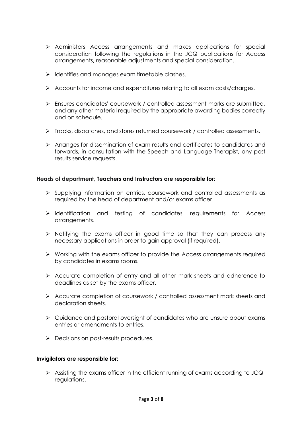- ➢ Administers Access arrangements and makes applications for special consideration following the regulations in the JCQ publications for Access arrangements, reasonable adjustments and special consideration.
- ➢ Identifies and manages exam timetable clashes.
- ➢ Accounts for income and expenditures relating to all exam costs/charges.
- ➢ Ensures candidates' coursework / controlled assessment marks are submitted, and any other material required by the appropriate awarding bodies correctly and on schedule.
- ➢ Tracks, dispatches, and stores returned coursework / controlled assessments.
- ➢ Arranges for dissemination of exam results and certificates to candidates and forwards, in consultation with the Speech and Language Therapist**,** any post results service requests.

# **Heads of department, Teachers and Instructors are responsible for:**

- ➢ Supplying information on entries, coursework and controlled assessments as required by the head of department and/or exams officer.
- ➢ Identification and testing of candidates' requirements for Access arrangements.
- ➢ Notifying the exams officer in good time so that they can process any necessary applications in order to gain approval (if required).
- ➢ Working with the exams officer to provide the Access arrangements required by candidates in exams rooms.
- ➢ Accurate completion of entry and all other mark sheets and adherence to deadlines as set by the exams officer.
- ➢ Accurate completion of coursework / controlled assessment mark sheets and declaration sheets.
- ➢ Guidance and pastoral oversight of candidates who are unsure about exams entries or amendments to entries.
- ➢ Decisions on post-results procedures.

#### **Invigilators are responsible for:**

➢ Assisting the exams officer in the efficient running of exams according to JCQ regulations.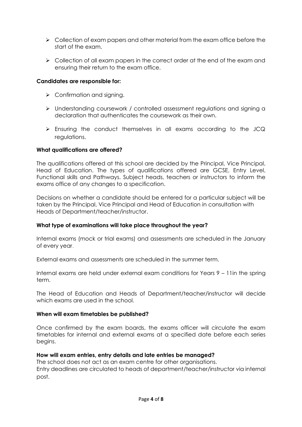- ➢ Collection of exam papers and other material from the exam office before the start of the exam.
- ➢ Collection of all exam papers in the correct order at the end of the exam and ensuring their return to the exam office.

# **Candidates are responsible for:**

- $\triangleright$  Confirmation and signing.
- ➢ Understanding coursework / controlled assessment regulations and signing a declaration that authenticates the coursework as their own.
- $\triangleright$  Ensuring the conduct themselves in all exams according to the JCQ regulations.

# **What qualifications are offered?**

The qualifications offered at this school are decided by the Principal, Vice Principal, Head of Education. The types of qualifications offered are GCSE, Entry Level, Functional skills and Pathways. Subject heads, teachers or instructors to inform the exams office of any changes to a specification.

Decisions on whether a candidate should be entered for a particular subject will be taken by the Principal, Vice Principal and Head of Education in consultation with Heads of Department/teacher/instructor.

#### **What type of examinations will take place throughout the year?**

Internal exams (mock or trial exams) and assessments are scheduled in the January of every year.

External exams and assessments are scheduled in the summer term.

Internal exams are held under external exam conditions for Years 9 – 11in the spring term.

The Head of Education and Heads of Department/teacher/instructor will decide which exams are used in the school.

#### **When will exam timetables be published?**

Once confirmed by the exam boards, the exams officer will circulate the exam timetables for internal and external exams at a specified date before each series begins.

#### **How will exam entries, entry details and late entries be managed?**

The school does not act as an exam centre for other organisations. Entry deadlines are circulated to heads of department/teacher/instructor via internal post.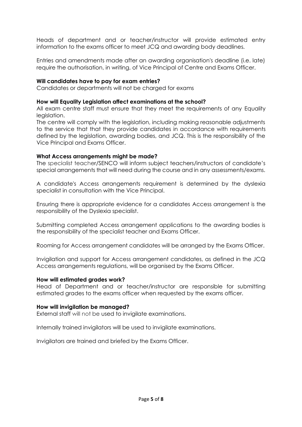Heads of department and or teacher/instructor will provide estimated entry information to the exams officer to meet JCQ and awarding body deadlines.

Entries and amendments made after an awarding organisation's deadline (i.e. late) require the authorisation, in writing, of Vice Principal of Centre and Exams Officer.

# **Will candidates have to pay for exam entries?**

Candidates or departments will not be charged for exams

#### **How will Equality Legislation affect examinations at the school?**

All exam centre staff must ensure that they meet the requirements of any Equality legislation.

The centre will comply with the legislation, including making reasonable adjustments to the service that that they provide candidates in accordance with requirements defined by the legislation, awarding bodies, and JCQ. This is the responsibility of the Vice Principal and Exams Officer.

# **What Access arrangements might be made?**

The specialist teacher/SENCO will inform subject teachers/instructors of candidate's special arrangements that will need during the course and in any assessments/exams.

A candidate's Access arrangements requirement is determined by the dyslexia specialist in consultation with the Vice Principal.

Ensuring there is appropriate evidence for a candidates Access arrangement is the responsibility of the Dyslexia specialist.

Submitting completed Access arrangement applications to the awarding bodies is the responsibility of the specialist teacher and Exams Officer.

Rooming for Access arrangement candidates will be arranged by the Exams Officer.

Invigilation and support for Access arrangement candidates, as defined in the JCQ Access arrangements regulations, will be organised by the Exams Officer.

#### **How will estimated grades work?**

Head of Department and or teacher/instructor are responsible for submitting estimated grades to the exams officer when requested by the exams officer.

#### **How will invigilation be managed?**

External staff will not be used to invigilate examinations.

Internally trained invigilators will be used to invigilate examinations.

Invigilators are trained and briefed by the Exams Officer.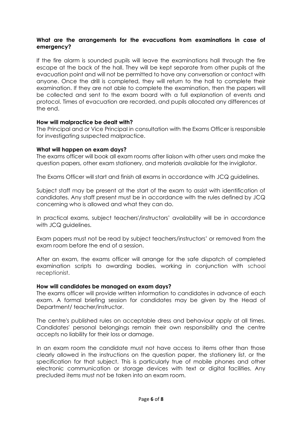# **What are the arrangements for the evacuations from examinations in case of emergency?**

If the fire alarm is sounded pupils will leave the examinations hall through the fire escape at the back of the hall. They will be kept separate from other pupils at the evacuation point and will not be permitted to have any conversation or contact with anyone. Once the drill is completed, they will return to the hall to complete their examination. If they are not able to complete the examination, then the papers will be collected and sent to the exam board with a full explanation of events and protocol. Times of evacuation are recorded, and pupils allocated any differences at the end.

#### **How will malpractice be dealt with?**

The Principal and or Vice Principal in consultation with the Exams Officer is responsible for investigating suspected malpractice.

# **What will happen on exam days?**

The exams officer will book all exam rooms after liaison with other users and make the question papers, other exam stationery, and materials available for the invigilator.

The Exams Officer will start and finish all exams in accordance with JCQ guidelines.

Subject staff may be present at the start of the exam to assist with identification of candidates. Any staff present must be in accordance with the rules defined by JCQ concerning who is allowed and what they can do.

In practical exams, subject teachers'/instructors' availability will be in accordance with JCQ guidelines.

Exam papers must not be read by subject teachers/instructors' or removed from the exam room before the end of a session.

After an exam, the exams officer will arrange for the safe dispatch of completed examination scripts to awarding bodies, working in conjunction with school receptionist.

# **How will candidates be managed on exam days?**

The exams officer will provide written information to candidates in advance of each exam. A formal briefing session for candidates may be given by the Head of Department/ teacher/instructor.

The centre's published rules on acceptable dress and behaviour apply at all times. Candidates' personal belongings remain their own responsibility and the centre accepts no liability for their loss or damage.

In an exam room the candidate must not have access to items other than those clearly allowed in the instructions on the question paper, the stationery list, or the specification for that subject. This is particularly true of mobile phones and other electronic communication or storage devices with text or digital facilities. Any precluded items must not be taken into an exam room.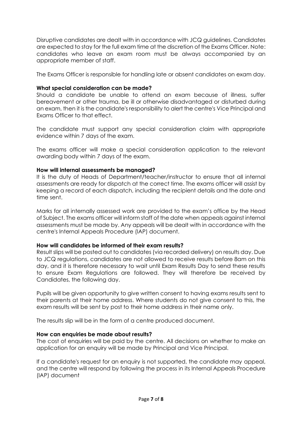Disruptive candidates are dealt with in accordance with JCQ guidelines. Candidates are expected to stay for the full exam time at the discretion of the Exams Officer. Note: candidates who leave an exam room must be always accompanied by an appropriate member of staff.

The Exams Officer is responsible for handling late or absent candidates on exam day.

# **What special consideration can be made?**

Should a candidate be unable to attend an exam because of illness, suffer bereavement or other trauma, be ill or otherwise disadvantaged or disturbed during an exam, then it is the candidate's responsibility to alert the centre's Vice Principal and Exams Officer to that effect.

The candidate must support any special consideration claim with appropriate evidence within 7 days of the exam.

The exams officer will make a special consideration application to the relevant awarding body within 7 days of the exam.

# **How will internal assessments be managed?**

It is the duty of Heads of Department/teacher/instructor to ensure that all internal assessments are ready for dispatch at the correct time. The exams officer will assist by keeping a record of each dispatch, including the recipient details and the date and time sent.

Marks for all internally assessed work are provided to the exam's office by the Head of Subject. The exams officer will inform staff of the date when appeals against internal assessments must be made by. Any appeals will be dealt with in accordance with the centre's Internal Appeals Procedure (IAP) document.

#### **How will candidates be informed of their exam results?**

Result slips will be posted out to candidates (via recorded delivery) on results day. Due to JCQ regulations, candidates are not allowed to receive results before 8am on this day, and it is therefore necessary to wait until Exam Results Day to send these results to ensure Exam Regulations are followed. They will therefore be received by Candidates, the following day.

Pupils will be given opportunity to give written consent to having exams results sent to their parents at their home address. Where students do not give consent to this, the exam results will be sent by post to their home address in their name only.

The results slip will be in the form of a centre produced document.

# **How can enquiries be made about results?**

The cost of enquiries will be paid by the centre. All decisions on whether to make an application for an enquiry will be made by Principal and Vice Principal.

If a candidate's request for an enquiry is not supported, the candidate may appeal, and the centre will respond by following the process in its Internal Appeals Procedure (IAP) document